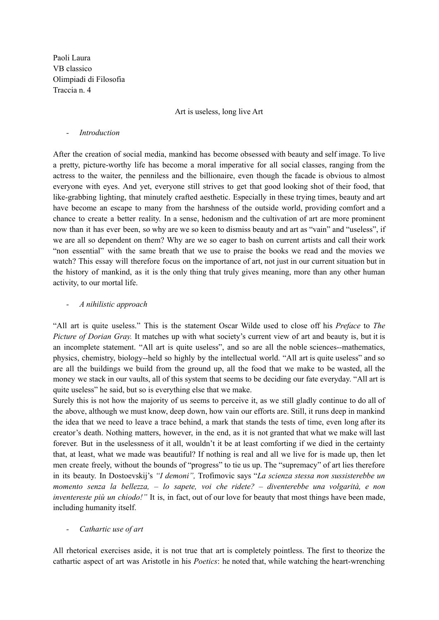Paoli Laura VB classico Olimpiadi di Filosofia Traccia n. 4

## Art is useless, long live Art

## *- Introduction*

After the creation of social media, mankind has become obsessed with beauty and self image. To live a pretty, picture-worthy life has become a moral imperative for all social classes, ranging from the actress to the waiter, the penniless and the billionaire, even though the facade is obvious to almost everyone with eyes. And yet, everyone still strives to get that good looking shot of their food, that like-grabbing lighting, that minutely crafted aesthetic. Especially in these trying times, beauty and art have become an escape to many from the harshness of the outside world, providing comfort and a chance to create a better reality. In a sense, hedonism and the cultivation of art are more prominent now than it has ever been, so why are we so keen to dismiss beauty and art as "vain" and "useless", if we are all so dependent on them? Why are we so eager to bash on current artists and call their work "non essential" with the same breath that we use to praise the books we read and the movies we watch? This essay will therefore focus on the importance of art, not just in our current situation but in the history of mankind, as it is the only thing that truly gives meaning, more than any other human activity, to our mortal life.

## *- A nihilistic approach*

"All art is quite useless." This is the statement Oscar Wilde used to close off his *Preface* to *The Picture of Dorian Gray.* It matches up with what society's current view of art and beauty is, but it is an incomplete statement. "All art is quite useless", and so are all the noble sciences--mathematics, physics, chemistry, biology--held so highly by the intellectual world. "All art is quite useless" and so are all the buildings we build from the ground up, all the food that we make to be wasted, all the money we stack in our vaults, all of this system that seems to be deciding our fate everyday. "All art is quite useless" he said, but so is everything else that we make.

Surely this is not how the majority of us seems to perceive it, as we still gladly continue to do all of the above, although we must know, deep down, how vain our efforts are. Still, it runs deep in mankind the idea that we need to leave a trace behind, a mark that stands the tests of time, even long after its creator's death. Nothing matters, however, in the end, as it is not granted that what we make will last forever. But in the uselessness of it all, wouldn't it be at least comforting if we died in the certainty that, at least, what we made was beautiful? If nothing is real and all we live for is made up, then let men create freely, without the bounds of "progress" to tie us up. The "supremacy" of art lies therefore in its beauty. In Dostoevskij's *"I demoni",* Trofimovic says "*La scienza stessa non sussisterebbe un momento senza la bellezza, – lo sapete, voi che ridete? – diventerebbe una volgarità, e non inventereste più un chiodo!"* It is, in fact, out of our love for beauty that most things have been made, including humanity itself.

## *- Cathartic use of art*

All rhetorical exercises aside, it is not true that art is completely pointless. The first to theorize the cathartic aspect of art was Aristotle in his *Poetics*: he noted that, while watching the heart-wrenching